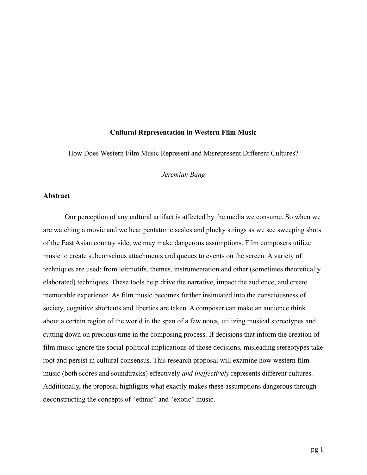#### **Cultural Representation in Western Film Music**

How Does Western Film Music Represent and Misrepresent Different Cultures?

# *Jeremiah Bang*

# **Abstract**

Our perception of any cultural artifact is affected by the media we consume. So when we are watching a movie and we hear pentatonic scales and plucky strings as we see sweeping shots of the East Asian country side, we may make dangerous assumptions. Film composers utilize music to create subconscious attachments and queues to events on the screen. A variety of techniques are used: from leitmotifs, themes, instrumentation and other (sometimes theoretically elaborated) techniques. These tools help drive the narrative, impact the audience, and create memorable experience. As film music becomes further insinuated into the consciousness of society, cognitive shortcuts and liberties are taken. A composer can make an audience think about a certain region of the world in the span of a few notes, utilizing musical stereotypes and cutting down on precious time in the composing process. If decisions that inform the creation of film music ignore the social-political implications of those decisions, misleading stereotypes take root and persist in cultural consensus. This research proposal will examine how western film music (both scores and soundtracks) effectively *and ineffectively* represents different cultures. Additionally, the proposal highlights what exactly makes these assumptions dangerous through deconstructing the concepts of "ethnic" and "exotic" music.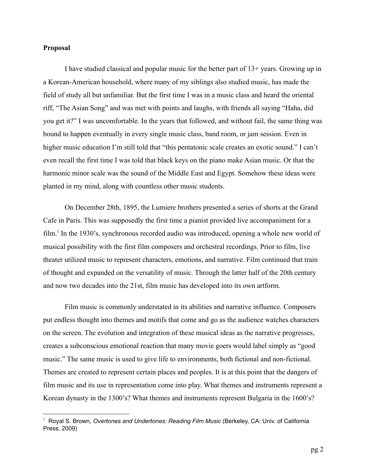# **Proposal**

I have studied classical and popular music for the better part of 13+ years. Growing up in a Korean-American household, where many of my siblings also studied music, has made the field of study all but unfamiliar. But the first time I was in a music class and heard the oriental riff, "The Asian Song" and was met with points and laughs, with friends all saying "Haha, did you get it?" I was uncomfortable. In the years that followed, and without fail, the same thing was bound to happen eventually in every single music class, band room, or jam session. Even in higher music education I'm still told that "this pentatonic scale creates an exotic sound." I can't even recall the first time I was told that black keys on the piano make Asian music. Or that the harmonic minor scale was the sound of the Middle East and Egypt. Somehow these ideas were planted in my mind, along with countless other music students.

On December 28th, 1895, the Lumiere brothers presented a series of shorts at the Grand Cafe in Paris. This was supposedly the first time a pianist provided live accompaniment for a  $film<sup>1</sup>$  In the 1930's, synchronous recorded audio was introduced, opening a whole new world of musical possibility with the first film composers and orchestral recordings. Prior to film, live theater utilized music to represent characters, emotions, and narrative. Film continued that train of thought and expanded on the versatility of music. Through the latter half of the 20th century and now two decades into the 21st, film music has developed into its own artform.

Film music is commonly understated in its abilities and narrative influence. Composers put endless thought into themes and motifs that come and go as the audience watches characters on the screen. The evolution and integration of these musical ideas as the narrative progresses, creates a subconscious emotional reaction that many movie goers would label simply as "good music." The same music is used to give life to environments, both fictional and non-fictional. Themes are created to represent certain places and peoples. It is at this point that the dangers of film music and its use in representation come into play. What themes and instruments represent a Korean dynasty in the 1300's? What themes and instruments represent Bulgaria in the 1600's?

<sup>1</sup> Royal S. Brown, *Overtones and Undertones: Reading Film Music* (Berkeley, CA: Univ. of California Press, 2009)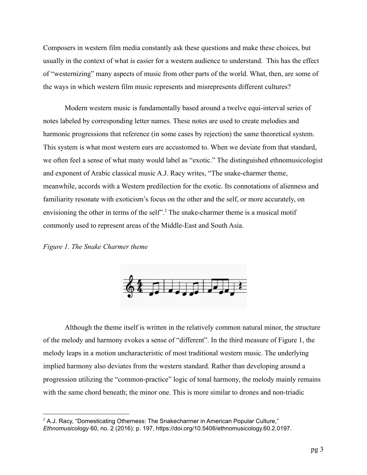Composers in western film media constantly ask these questions and make these choices, but usually in the context of what is easier for a western audience to understand. This has the effect of "westernizing" many aspects of music from other parts of the world. What, then, are some of the ways in which western film music represents and misrepresents different cultures?

Modern western music is fundamentally based around a twelve equi-interval series of notes labeled by corresponding letter names. These notes are used to create melodies and harmonic progressions that reference (in some cases by rejection) the same theoretical system. This system is what most western ears are accustomed to. When we deviate from that standard, we often feel a sense of what many would label as "exotic." The distinguished ethnomusicologist and exponent of Arabic classical music A.J. Racy writes, "The snake-charmer theme, meanwhile, accords with a Western predilection for the exotic. Its connotations of alienness and familiarity resonate with exoticism's focus on the other and the self, or more accurately, on envisioning the other in terms of the self".<sup>2</sup> The snake-charmer theme is a musical motif commonly used to represent areas of the Middle-East and South Asia.

#### *Figure 1. The Snake Charmer theme*



Although the theme itself is written in the relatively common natural minor, the structure of the melody and harmony evokes a sense of "different". In the third measure of Figure 1, the melody leaps in a motion uncharacteristic of most traditional western music. The underlying implied harmony also deviates from the western standard. Rather than developing around a progression utilizing the "common-practice" logic of tonal harmony, the melody mainly remains with the same chord beneath; the minor one. This is more similar to drones and non-triadic

 $2$  A.J. Racy, "Domesticating Otherness: The Snakecharmer in American Popular Culture," *Ethnomusicology* 60, no. 2 (2016): p. 197, https://doi.org/10.5406/ethnomusicology.60.2.0197.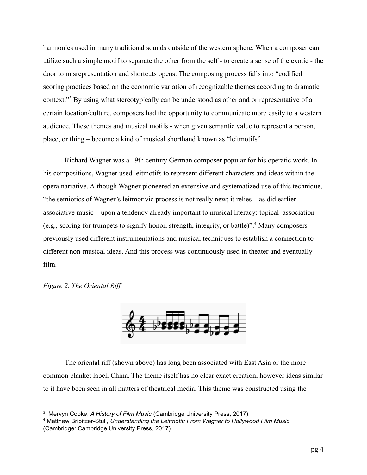harmonies used in many traditional sounds outside of the western sphere. When a composer can utilize such a simple motif to separate the other from the self - to create a sense of the exotic - the door to misrepresentation and shortcuts opens. The composing process falls into "codified scoring practices based on the economic variation of recognizable themes according to dramatic context."<sup>3</sup> By using what stereotypically can be understood as other and or representative of a certain location/culture, composers had the opportunity to communicate more easily to a western audience. These themes and musical motifs - when given semantic value to represent a person, place, or thing – become a kind of musical shorthand known as "leitmotifs"

Richard Wagner was a 19th century German composer popular for his operatic work. In his compositions, Wagner used leitmotifs to represent different characters and ideas within the opera narrative. Although Wagner pioneered an extensive and systematized use of this technique, "the semiotics of Wagner's leitmotivic process is not really new; it relies – as did earlier associative music – upon a tendency already important to musical literacy: topical association (e.g., scoring for trumpets to signify honor, strength, integrity, or battle)". Many composers <sup>4</sup> previously used different instrumentations and musical techniques to establish a connection to different non-musical ideas. And this process was continuously used in theater and eventually film.

*Figure 2. The Oriental Riff*



The oriental riff (shown above) has long been associated with East Asia or the more common blanket label, China. The theme itself has no clear exact creation, however ideas similar to it have been seen in all matters of theatrical media. This theme was constructed using the

<sup>3</sup> Mervyn Cooke, *A History of Film Music* (Cambridge University Press, 2017).

<sup>4</sup> Matthew Bribitzer-Stull, *Understanding the Leitmotif: From Wagner to Hollywood Film Music* (Cambridge: Cambridge University Press, 2017).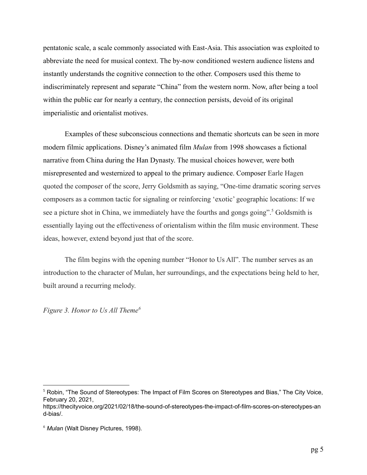pentatonic scale, a scale commonly associated with East-Asia. This association was exploited to abbreviate the need for musical context. The by-now conditioned western audience listens and instantly understands the cognitive connection to the other. Composers used this theme to indiscriminately represent and separate "China" from the western norm. Now, after being a tool within the public ear for nearly a century, the connection persists, devoid of its original imperialistic and orientalist motives.

Examples of these subconscious connections and thematic shortcuts can be seen in more modern filmic applications. Disney's animated film *Mulan* from 1998 showcases a fictional narrative from China during the Han Dynasty. The musical choices however, were both misrepresented and westernized to appeal to the primary audience. Composer Earle Hagen quoted the composer of the score, Jerry Goldsmith as saying, "One-time dramatic scoring serves composers as a common tactic for signaling or reinforcing 'exotic' geographic locations: If we see a picture shot in China, we immediately have the fourths and gongs going".<sup>5</sup> Goldsmith is essentially laying out the effectiveness of orientalism within the film music environment. These ideas, however, extend beyond just that of the score.

The film begins with the opening number "Honor to Us All". The number serves as an introduction to the character of Mulan, her surroundings, and the expectations being held to her, built around a recurring melody.

*Figure 3. Honor to Us All Theme<sup>6</sup>*

<sup>5</sup> Robin, "The Sound of Stereotypes: The Impact of Film Scores on Stereotypes and Bias," The City Voice, February 20, 2021,

https://thecityvoice.org/2021/02/18/the-sound-of-stereotypes-the-impact-of-film-scores-on-stereotypes-an d-bias/.

<sup>6</sup> *Mulan* (Walt Disney Pictures, 1998).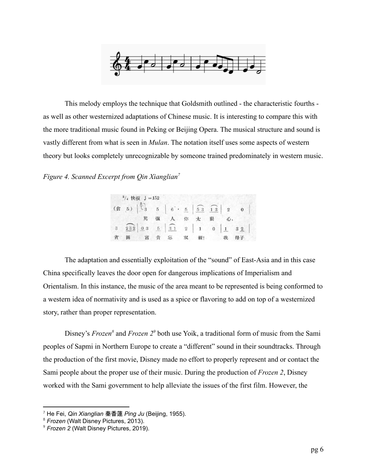

This melody employs the technique that Goldsmith outlined - the characteristic fourths as well as other westernized adaptations of Chinese music. It is interesting to compare this with the more traditional music found in Peking or Beijing Opera. The musical structure and sound is vastly different from what is seen in *Mulan*. The notation itself uses some aspects of western theory but looks completely unrecognizable by someone trained predominately in western music.

# *Figure 4. Scanned Excerpt from Qin Xianglian<sup>7</sup>*

| $^{2}/_{4}$ 快板 $J = 152$ |                |                                                                                 |  |         |  |  |
|--------------------------|----------------|---------------------------------------------------------------------------------|--|---------|--|--|
|                          |                |                                                                                 |  |         |  |  |
|                          | $\mathbb{R}$ . | 强 人 你 太 狠 心,                                                                    |  |         |  |  |
|                          |                | $3\quad 232 \quad 03 \quad 5 \quad 31 \quad 2 \quad 1 \quad 0 \quad 1 \quad 32$ |  |         |  |  |
|                          |                | 圖富貴忘 双                                                                          |  | 親! 我 母子 |  |  |

The adaptation and essentially exploitation of the "sound" of East-Asia and in this case China specifically leaves the door open for dangerous implications of Imperialism and Orientalism. In this instance, the music of the area meant to be represented is being conformed to a western idea of normativity and is used as a spice or flavoring to add on top of a westernized story, rather than proper representation.

Disney's *Frozen*<sup>8</sup> and *Frozen* 2<sup>9</sup> both use Yoik, a traditional form of music from the Sami peoples of Sapmi in Northern Europe to create a "different" sound in their soundtracks. Through the production of the first movie, Disney made no effort to properly represent and or contact the Sami people about the proper use of their music. During the production of *Frozen 2*, Disney worked with the Sami government to help alleviate the issues of the first film. However, the

<sup>7</sup> He Fei, *Qin Xianglian* 秦香蓮 *Ping Ju* (Beijing, 1955).

<sup>8</sup> *Frozen* (Walt Disney Pictures, 2013).

<sup>9</sup> *Frozen 2* (Walt Disney Pictures, 2019).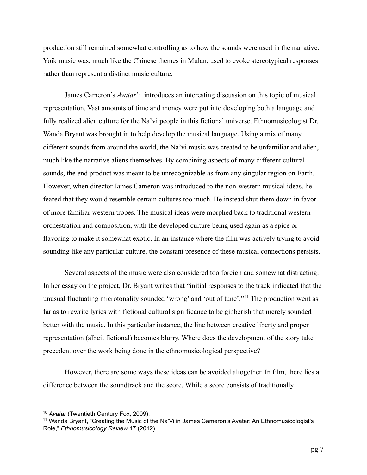production still remained somewhat controlling as to how the sounds were used in the narrative. Yoik music was, much like the Chinese themes in Mulan, used to evoke stereotypical responses rather than represent a distinct music culture.

James Cameron's *Avatar*<sup>10</sup>, introduces an interesting discussion on this topic of musical representation. Vast amounts of time and money were put into developing both a language and fully realized alien culture for the Na'vi people in this fictional universe. Ethnomusicologist Dr. Wanda Bryant was brought in to help develop the musical language. Using a mix of many different sounds from around the world, the Na'vi music was created to be unfamiliar and alien, much like the narrative aliens themselves. By combining aspects of many different cultural sounds, the end product was meant to be unrecognizable as from any singular region on Earth. However, when director James Cameron was introduced to the non-western musical ideas, he feared that they would resemble certain cultures too much. He instead shut them down in favor of more familiar western tropes. The musical ideas were morphed back to traditional western orchestration and composition, with the developed culture being used again as a spice or flavoring to make it somewhat exotic. In an instance where the film was actively trying to avoid sounding like any particular culture, the constant presence of these musical connections persists.

Several aspects of the music were also considered too foreign and somewhat distracting. In her essay on the project, Dr. Bryant writes that "initial responses to the track indicated that the unusual fluctuating microtonality sounded 'wrong' and 'out of tune'."<sup>11</sup> The production went as far as to rewrite lyrics with fictional cultural significance to be gibberish that merely sounded better with the music. In this particular instance, the line between creative liberty and proper representation (albeit fictional) becomes blurry. Where does the development of the story take precedent over the work being done in the ethnomusicological perspective?

However, there are some ways these ideas can be avoided altogether. In film, there lies a difference between the soundtrack and the score. While a score consists of traditionally

<sup>10</sup> *Avatar* (Twentieth Century Fox, 2009).

<sup>&</sup>lt;sup>11</sup> Wanda Bryant, "Creating the Music of the Na'Vi in James Cameron's Avatar: An Ethnomusicologist's Role," *Ethnomusicology Review* 17 (2012).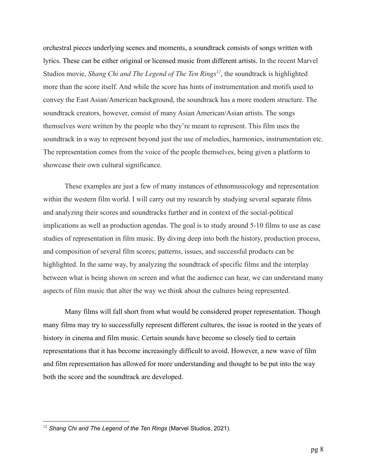orchestral pieces underlying scenes and moments, a soundtrack consists of songs written with lyrics. These can be either original or licensed music from different artists. In the recent Marvel Studios movie, *Shang Chi and The Legend of The Ten Rings<sup>12</sup>*, the soundtrack is highlighted more than the score itself. And while the score has hints of instrumentation and motifs used to convey the East Asian/American background, the soundtrack has a more modern structure. The soundtrack creators, however, consist of many Asian American/Asian artists. The songs themselves were written by the people who they're meant to represent. This film uses the soundtrack in a way to represent beyond just the use of melodies, harmonies, instrumentation etc. The representation comes from the voice of the people themselves, being given a platform to showcase their own cultural significance.

These examples are just a few of many instances of ethnomusicology and representation within the western film world. I will carry out my research by studying several separate films and analyzing their scores and soundtracks further and in context of the social-political implications as well as production agendas. The goal is to study around 5-10 films to use as case studies of representation in film music. By diving deep into both the history, production process, and composition of several film scores; patterns, issues, and successful products can be highlighted. In the same way, by analyzing the soundtrack of specific films and the interplay between what is being shown on screen and what the audience can hear, we can understand many aspects of film music that alter the way we think about the cultures being represented.

Many films will fall short from what would be considered proper representation. Though many films may try to successfully represent different cultures, the issue is rooted in the years of history in cinema and film music. Certain sounds have become so closely tied to certain representations that it has become increasingly difficult to avoid. However, a new wave of film and film representation has allowed for more understanding and thought to be put into the way both the score and the soundtrack are developed.

<sup>12</sup> *Shang Chi and The Legend of the Ten Rings* (Marvel Studios, 2021).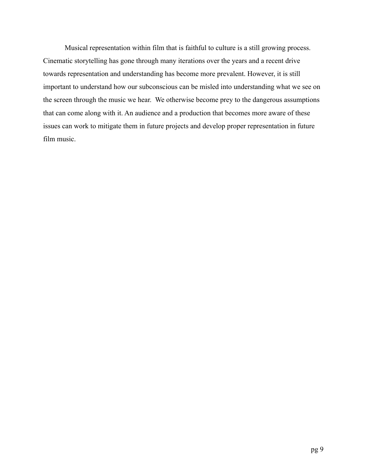Musical representation within film that is faithful to culture is a still growing process. Cinematic storytelling has gone through many iterations over the years and a recent drive towards representation and understanding has become more prevalent. However, it is still important to understand how our subconscious can be misled into understanding what we see on the screen through the music we hear. We otherwise become prey to the dangerous assumptions that can come along with it. An audience and a production that becomes more aware of these issues can work to mitigate them in future projects and develop proper representation in future film music.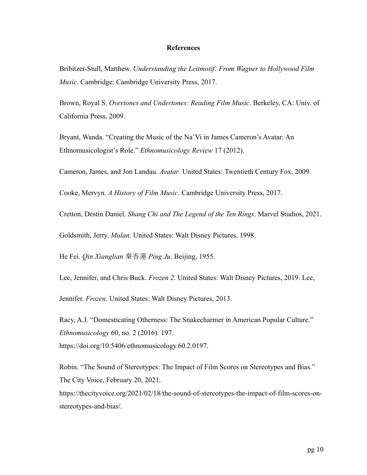### **References**

Bribitzer-Stull, Matthew. *Understanding the Leitmotif: From Wagner to Hollywood Film Music*. Cambridge: Cambridge University Press, 2017.

Brown, Royal S. *Overtones and Undertones: Reading Film Music*. Berkeley, CA: Univ. of California Press, 2009.

Bryant, Wanda. "Creating the Music of the Na'Vi in James Cameron's Avatar: An Ethnomusicologist's Role." *Ethnomusicology Review* 17 (2012).

Cameron, James, and Jon Landau. *Avatar*. United States: Twentieth Century Fox, 2009.

Cooke, Mervyn. *A History of Film Music*. Cambridge University Press, 2017.

Cretton, Destin Daniel. *Shang Chi and The Legend of the Ten Rings*. Marvel Studios, 2021.

Goldsmith, Jerry. *Mulan*. United States: Walt Disney Pictures, 1998.

He Fei. *Qin Xianglian* 秦香蓮 *Ping Ju*. Beijing, 1955.

Lee, Jennifer, and Chris Buck. *Frozen 2*. United States: Walt Disney Pictures, 2019. Lee,

Jennifer. *Frozen*. United States: Walt Disney Pictures, 2013.

Racy, A.J. "Domesticating Otherness: The Snakecharmer in American Popular Culture." *Ethnomusicology* 60, no. 2 (2016): 197. https://doi.org/10.5406/ethnomusicology.60.2.0197.

Robin. "The Sound of Stereotypes: The Impact of Film Scores on Stereotypes and Bias." The City Voice, February 20, 2021.

https://thecityvoice.org/2021/02/18/the-sound-of-stereotypes-the-impact-of-film-scores-onstereotypes-and-bias/.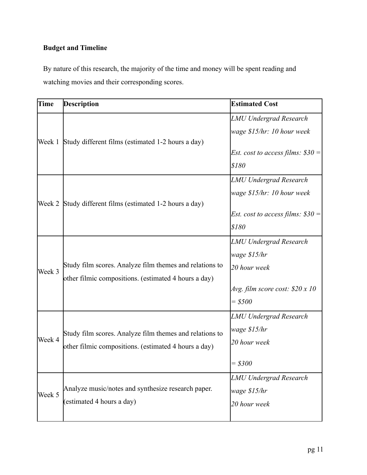# **Budget and Timeline**

By nature of this research, the majority of the time and money will be spent reading and watching movies and their corresponding scores.

| Time   | <b>Description</b>                                      | <b>Estimated Cost</b>                     |
|--------|---------------------------------------------------------|-------------------------------------------|
| Week 1 |                                                         | <b>LMU Undergrad Research</b>             |
|        |                                                         | wage \$15/hr: 10 hour week                |
|        | Study different films (estimated 1-2 hours a day)       |                                           |
|        |                                                         | <i>Est. cost to access films:</i> $$30 =$ |
|        |                                                         | \$180                                     |
|        |                                                         | <b>LMU Undergrad Research</b>             |
|        |                                                         | wage \$15/hr: 10 hour week                |
| Week 2 | Study different films (estimated 1-2 hours a day)       |                                           |
|        |                                                         | <i>Est. cost to access films:</i> $$30 =$ |
|        |                                                         | \$180                                     |
| Week 3 |                                                         | <b>LMU Undergrad Research</b>             |
|        |                                                         | wage \$15/hr                              |
|        | Study film scores. Analyze film themes and relations to | 20 hour week                              |
|        | other filmic compositions. (estimated 4 hours a day)    |                                           |
|        |                                                         | Avg. film score cost: $$20 x 10$          |
|        |                                                         | $= $500$                                  |
| Week 4 |                                                         | <b>LMU Undergrad Research</b>             |
|        | Study film scores. Analyze film themes and relations to | wage \$15/hr                              |
|        | other filmic compositions. (estimated 4 hours a day)    | 20 hour week                              |
|        |                                                         |                                           |
|        |                                                         | $= $300$                                  |
| Week 5 |                                                         | <b>LMU Undergrad Research</b>             |
|        | Analyze music/notes and synthesize research paper.      | wage \$15/hr                              |
|        | (estimated 4 hours a day)                               | 20 hour week                              |
|        |                                                         |                                           |